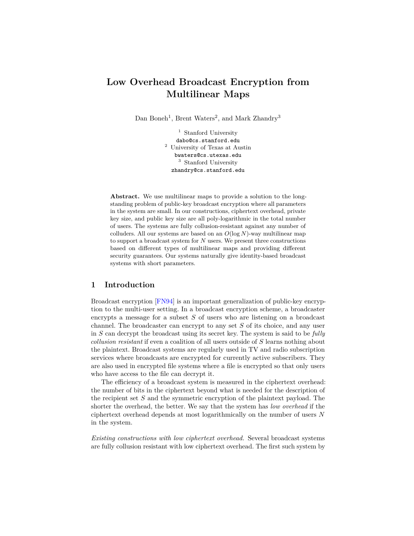# **Low Overhead Broadcast Encryption from Multilinear Maps**

Dan Boneh<sup>1</sup>, Brent Waters<sup>2</sup>, and Mark Zhandry<sup>3</sup>

 $1$  Stanford University dabo@cs.stanford.edu <sup>2</sup> University of Texas at Austin bwaters@cs.utexas.edu <sup>3</sup> Stanford University zhandry@cs.stanford.edu

**Abstract.** We use multilinear maps to provide a solution to the longstanding problem of public-key broadcast encryption where all parameters in the system are small. In our constructions, ciphertext overhead, private key size, and public key size are all poly-logarithmic in the total number of users. The systems are fully collusion-resistant against any number of colluders. All our systems are based on an *O*(log *N*)-way multilinear map to support a broadcast system for *N* users. We present three constructions based on different types of multilinear maps and providing different security guarantees. Our systems naturally give identity-based broadcast systems with short parameters.

### **1 Introduction**

Broadcast encryption [\[FN94\]](#page-17-0) is an important generalization of public-key encryption to the multi-user setting. In a broadcast encryption scheme, a broadcaster encrypts a message for a subset *S* of users who are listening on a broadcast channel. The broadcaster can encrypt to any set *S* of its choice, and any user in *S* can decrypt the broadcast using its secret key. The system is said to be *fully collusion resistant* if even a coalition of all users outside of *S* learns nothing about the plaintext. Broadcast systems are regularly used in TV and radio subscription services where broadcasts are encrypted for currently active subscribers. They are also used in encrypted file systems where a file is encrypted so that only users who have access to the file can decrypt it.

The efficiency of a broadcast system is measured in the ciphertext overhead: the number of bits in the ciphertext beyond what is needed for the description of the recipient set *S* and the symmetric encryption of the plaintext payload. The shorter the overhead, the better. We say that the system has *low overhead* if the ciphertext overhead depends at most logarithmically on the number of users *N* in the system.

*Existing constructions with low ciphertext overhead.* Several broadcast systems are fully collusion resistant with low ciphertext overhead. The first such system by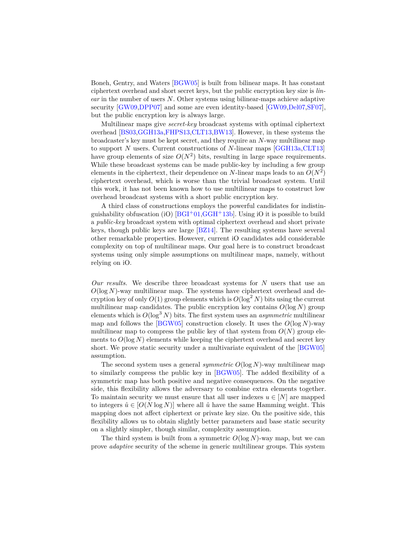Boneh, Gentry, and Waters [\[BGW05\]](#page-16-0) is built from bilinear maps. It has constant ciphertext overhead and short secret keys, but the public encryption key size is *linear* in the number of users *N*. Other systems using bilinear-maps achieve adaptive security [\[GW09](#page-17-1)[,DPP07\]](#page-17-2) and some are even identity-based [\[GW09,](#page-17-1)[Del07,](#page-17-3)[SF07\]](#page-17-4), but the public encryption key is always large.

Multilinear maps give *secret-key* broadcast systems with optimal ciphertext overhead [\[BS03,](#page-16-1)[GGH13a,](#page-17-5)[FHPS13,](#page-17-6)[CLT13](#page-17-7)[,BW13\]](#page-16-2). However, in these systems the broadcaster's key must be kept secret, and they require an *N*-way multilinear map to support *N* users. Current constructions of *N*-linear maps [\[GGH13a](#page-17-5)[,CLT13\]](#page-17-7) have group elements of size  $O(N^2)$  bits, resulting in large space requirements. While these broadcast systems can be made public-key by including a few group elements in the ciphertext, their dependence on  $N$ -linear maps leads to an  $O(N^2)$ ciphertext overhead, which is worse than the trivial broadcast system. Until this work, it has not been known how to use multilinear maps to construct low overhead broadcast systems with a short public encryption key.

A third class of constructions employs the powerful candidates for indistinguishability obfuscation (iO)  $[BGI^+01, GGH^+13b]$  $[BGI^+01, GGH^+13b]$ . Using iO it is possible to build a *public-key* broadcast system with optimal ciphertext overhead and short private keys, though public keys are large [\[BZ14\]](#page-16-4). The resulting systems have several other remarkable properties. However, current iO candidates add considerable complexity on top of multilinear maps. Our goal here is to construct broadcast systems using only simple assumptions on multilinear maps, namely, without relying on iO.

*Our results.* We describe three broadcast systems for *N* users that use an  $O(\log N)$ -way multilinear map. The systems have ciphertext overhead and decryption key of only  $O(1)$  group elements which is  $O(\log^2 N)$  bits using the current multilinear map candidates. The public encryption key contains  $O(\log N)$  group elements which is  $O(\log^3 N)$  bits. The first system uses an *asymmetric* multilinear map and follows the  $[BGW05]$  construction closely. It uses the  $O(\log N)$ -way multilinear map to compress the public key of that system from  $O(N)$  group elements to  $O(\log N)$  elements while keeping the ciphertext overhead and secret key short. We prove static security under a multivariate equivalent of the [\[BGW05\]](#page-16-0) assumption.

The second system uses a general *symmetric O*(log *N*)-way multilinear map to similarly compress the public key in [\[BGW05\]](#page-16-0). The added flexibility of a symmetric map has both positive and negative consequences. On the negative side, this flexibility allows the adversary to combine extra elements together. To maintain security we must ensure that all user indexes  $u \in [N]$  are mapped to integers  $\hat{u} \in [O(N \log N)]$  where all  $\hat{u}$  have the same Hamming weight. This mapping does not affect ciphertext or private key size. On the positive side, this flexibility allows us to obtain slightly better parameters and base static security on a slightly simpler, though similar, complexity assumption.

The third system is built from a symmetric  $O(\log N)$ -way map, but we can prove *adaptive* security of the scheme in generic multilinear groups. This system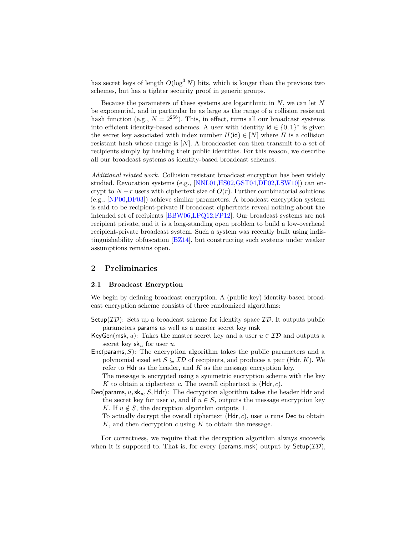has secret keys of length  $O(\log^3 N)$  bits, which is longer than the previous two schemes, but has a tighter security proof in generic groups.

Because the parameters of these systems are logarithmic in *N*, we can let *N* be exponential, and in particular be as large as the range of a collision resistant hash function (e.g.,  $N = 2^{256}$ ). This, in effect, turns all our broadcast systems into efficient identity-based schemes. A user with identity  $id \in \{0,1\}^*$  is given the secret key associated with index number  $H(i\mathbf{d}) \in [N]$  where *H* is a collision resistant hash whose range is  $[N]$ . A broadcaster can then transmit to a set of recipients simply by hashing their public identities. For this reason, we describe all our broadcast systems as identity-based broadcast schemes.

*Additional related work.* Collusion resistant broadcast encryption has been widely studied. Revocation systems (e.g., [\[NNL01,](#page-17-9)[HS02,](#page-17-10)[GST04,](#page-17-11)[DF02,](#page-17-12)[LSW10\]](#page-17-13)) can encrypt to  $N-r$  users with ciphertext size of  $O(r)$ . Further combinatorial solutions (e.g., [\[NP00,](#page-17-14)[DF03\]](#page-17-15)) achieve similar parameters. A broadcast encryption system is said to be recipient-private if broadcast ciphertexts reveal nothing about the intended set of recipients [\[BBW06](#page-16-5)[,LPQ12,](#page-17-16)[FP12\]](#page-17-17). Our broadcast systems are not recipient private, and it is a long-standing open problem to build a low-overhead recipient-private broadcast system. Such a system was recently built using indistinguishability obfuscation [\[BZ14\]](#page-16-4), but constructing such systems under weaker assumptions remains open.

### <span id="page-2-0"></span>**2 Preliminaries**

### **2.1 Broadcast Encryption**

We begin by defining broadcast encryption. A (public key) identity-based broadcast encryption scheme consists of three randomized algorithms:

- Setup( $ID$ ): Sets up a broadcast scheme for identity space  $ID$ . It outputs public parameters params as well as a master secret key msk
- KeyGen(msk, u): Takes the master secret key and a user  $u \in \mathcal{ID}$  and outputs a secret key sk*<sup>u</sup>* for user *u*.
- Enc(params*, S*): The encryption algorithm takes the public parameters and a polynomial sized set  $S \subseteq \mathcal{ID}$  of recipients, and produces a pair (Hdr, K). We refer to Hdr as the header, and *K* as the message encryption key.

The message is encrypted using a symmetric encryption scheme with the key *K* to obtain a ciphertext *c*. The overall ciphertext is (Hdr*, c*).

Dec(params*, u,*sk*u, S,* Hdr): The decryption algorithm takes the header Hdr and the secret key for user *u*, and if  $u \in S$ , outputs the message encryption key *K*. If  $u \notin S$ , the decryption algorithm outputs  $\bot$ .

To actually decrypt the overall ciphertext (Hdr*, c*), user *u* runs Dec to obtain *K*, and then decryption *c* using *K* to obtain the message.

For correctness, we require that the decryption algorithm always succeeds when it is supposed to. That is, for every (params, msk) output by  $Setup(\mathcal{ID})$ ,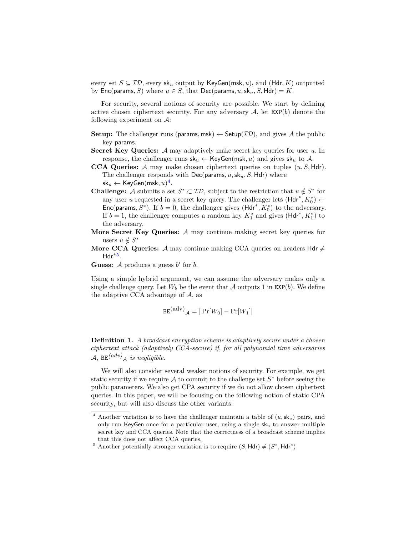every set  $S \subseteq \mathcal{ID}$ , every  $\mathsf{sk}_u$  output by  $\mathsf{KeyGen}(\mathsf{msk}, u)$ , and  $(\mathsf{Hdr}, K)$  outputted by  $Enc(\text{params}, S)$  where  $u \in S$ , that  $Dec(\text{params}, u, sk_u, S, \text{Hdr}) = K$ .

For security, several notions of security are possible. We start by defining active chosen ciphertext security. For any adversary  $A$ , let  $EXP(b)$  denote the following experiment on  $\mathcal{A}$ :

- **Setup:** The challenger runs (params, msk)  $\leftarrow$  Setup( $ID$ ), and gives A the public key params.
- **Secret Key Queries:** A may adaptively make secret key queries for user *u*. In response, the challenger runs  $sk_u \leftarrow \text{KeyGen}(\text{msk}, u)$  and gives  $sk_u$  to A.
- **CCA Queries:** A may make chosen ciphertext queries on tuples (*u, S,* Hdr). The challenger responds with Dec(params*, u,*sk*u, S,* Hdr) where  $\mathsf{sk}_u \leftarrow \mathsf{KeyGen}(\mathsf{msk}, u)^{\mathbf{4}}.$  $\mathsf{sk}_u \leftarrow \mathsf{KeyGen}(\mathsf{msk}, u)^{\mathbf{4}}.$  $\mathsf{sk}_u \leftarrow \mathsf{KeyGen}(\mathsf{msk}, u)^{\mathbf{4}}.$
- **Challenge:** A submits a set  $S^* \subset \mathcal{ID}$ , subject to the restriction that  $u \notin S^*$  for any user *u* requested in a secret key query. The challenger lets  $(Hdr^*, K_0^*) \leftarrow$ Enc(params,  $S^*$ ). If  $b = 0$ , the challenger gives (Hdr<sup>\*</sup>,  $K_0^*$ ) to the adversary. If  $b = 1$ , the challenger computes a random key  $K_1^*$  and gives  $(Hdr^*, K_1^*)$  to the adversary.
- **More Secret Key Queries:** A may continue making secret key queries for users  $u \notin S^*$
- **More CCA Queries:** A may continue making CCA queries on headers Hdr  $\neq$ Hdr<sup>∗</sup>[5](#page-3-1) .

**Guess:**  $\mathcal A$  produces a guess  $b'$  for  $b$ .

Using a simple hybrid argument, we can assume the adversary makes only a single challenge query. Let  $W_b$  be the event that A outputs 1 in  $\text{EXP}(b)$ . We define the adaptive CCA advantage of  $A$ , as

$$
\mathtt{BE}^{(\mathrm{adv})}A = |\Pr[W_0] - \Pr[W_1]|
$$

**Definition 1.** *A broadcast encryption scheme is adaptively secure under a chosen ciphertext attack (adaptively CCA-secure) if, for all polynomial time adversaries*  $\mathcal{A}, \ \texttt{BE}^{(adv)}\mathcal{A} \ \textit{is negligible.}$ 

We will also consider several weaker notions of security. For example, we get static security if we require  $A$  to commit to the challenge set  $S^*$  before seeing the public parameters. We also get CPA security if we do not allow chosen ciphertext queries. In this paper, we will be focusing on the following notion of static CPA security, but will also discuss the other variants:

<span id="page-3-0"></span><sup>&</sup>lt;sup>4</sup> Another variation is to have the challenger maintain a table of  $(u, sk_u)$  pairs, and only run KeyGen once for a particular user, using a single sk*<sup>u</sup>* to answer multiple secret key and CCA queries. Note that the correctness of a broadcast scheme implies that this does not affect CCA queries.

<span id="page-3-1"></span><sup>&</sup>lt;sup>5</sup> Another potentially stronger variation is to require  $(S, \text{Hdr}) \neq (S^*, \text{Hdr}^*)$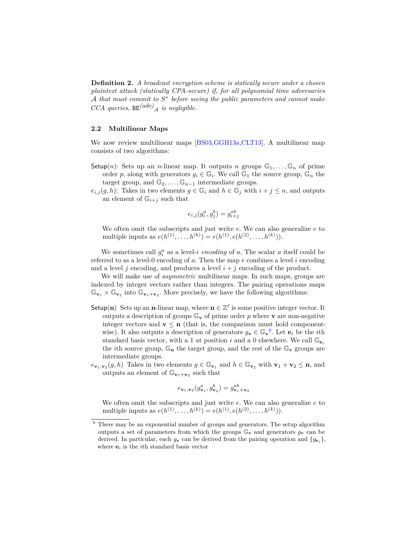**Definition 2.** *A broadcast encryption scheme is statically secure under a chosen plaintext attack (statically CPA-secure) if, for all polynomial time adversaries* A *that must commit to S* ∗ *before seeing the public parameters and cannot make CCA queries,* BE*(adv)* <sup>A</sup> *is negligible.*

### **2.2 Multilinear Maps**

We now review multilinear maps [\[BS03](#page-16-1)[,GGH13a](#page-17-5)[,CLT13\]](#page-17-7). A multilinear map consists of two algorithms:

- Setup(*n*): Sets up an *n*-linear map. It outputs *n* groups  $\mathbb{G}_1, \ldots, \mathbb{G}_n$  of prime order *p*, along with generators  $g_i \in \mathbb{G}_i$ . We call  $\mathbb{G}_1$  the source group,  $\mathbb{G}_n$  the target group, and  $\mathbb{G}_2, \ldots, \mathbb{G}_{n-1}$  intermediate groups.
- $e_{i,j}(g, h)$ : Takes in two elements  $g \in \mathbb{G}_i$  and  $h \in \mathbb{G}_j$  with  $i + j \leq n$ , and outputs an element of  $\mathbb{G}_{i+j}$  such that

$$
e_{i,j}(g_i^a, g_j^b) = g_{i+j}^{ab}
$$

We often omit the subscripts and just write *e*. We can also generalize *e* to multiple inputs as  $e(h^{(1)},...,h^{(k)}) = e(h^{(1)},e(h^{(2)},...,h^{(k)})).$ 

We sometimes call  $g_i^a$  as a level-*i* encoding of *a*. The scalar *a* itself could be referred to as a level-0 encoding of *a*. Then the map *e* combines a level *i* encoding and a level  $j$  encoding, and produces a level  $i + j$  encoding of the product.

We will make use of *asymmetric* multilinear maps. In such maps, groups are indexed by integer vectors rather than integers. The pairing operations maps  $\mathbb{G}_{\mathbf{v}_1} \times \mathbb{G}_{\mathbf{v}_2}$  into  $\mathbb{G}_{\mathbf{v}_1+\mathbf{v}_2}$ . More precisely, we have the following algorithms:

- Setup(n) Sets up an **n**-linear map, where  $\mathbf{n} \in \mathbb{Z}^{\ell}$  is some positive integer vector. It outputs a description of groups  $\mathbb{G}_{\mathbf{v}}$  of prime order p where **v** are non-negative integer vectors and  $\mathbf{v} \leq \mathbf{n}$  (that is, the comparison must hold componentwise). It also outputs a description of generators  $g_v \in \mathbb{G}_v$ <sup>[6](#page-4-0)</sup>. Let  $e_i$  be the *i*th standard basis vector, with a 1 at position *i* and a 0 elsewhere. We call  $\mathbb{G}_{\mathbf{e}_i}$ the *i*th source group,  $\mathbb{G}_n$  the target group, and the rest of the  $\mathbb{G}_v$  groups are intermediate groups.
- $e_{\mathbf{v}_1,\mathbf{v}_2}(g, h)$  Takes in two elements  $g \in \mathbb{G}_{\mathbf{v}_1}$  and  $h \in \mathbb{G}_{\mathbf{v}_2}$  with  $\mathbf{v}_1 + \mathbf{v}_2 \leq \mathbf{n}$ , and outputs an element of  $\mathbb{G}_{\mathbf{v}_1+\mathbf{v}_2}$  such that

$$
e_{\mathbf{v}_1,\mathbf{v}_2}(g_{\mathbf{v}_1}^a,g_{\mathbf{v}_2}^b)=g_{\mathbf{v}_1+\mathbf{v}_2}^{ab}
$$

We often omit the subscripts and just write *e*. We can also generalize *e* to multiple inputs as  $e(h^{(1)},...,h^{(k)}) = e(h^{(1)},e(h^{(2)},...,h^{(k)})).$ 

<span id="page-4-0"></span> $^6$  There may be an exponential number of groups and generators. The setup algorithm outputs a set of parameters from which the groups  $\mathbb{G}_{\mathbf{v}}$  and generators  $g_{\mathbf{v}}$  can be derived. In particular, each  $g_{\mathbf{v}}$  can be derived from the pairing operation and  $\{g_{\mathbf{e}_i}\}\$ , where **e***<sup>i</sup>* is the *i*th standard basis vector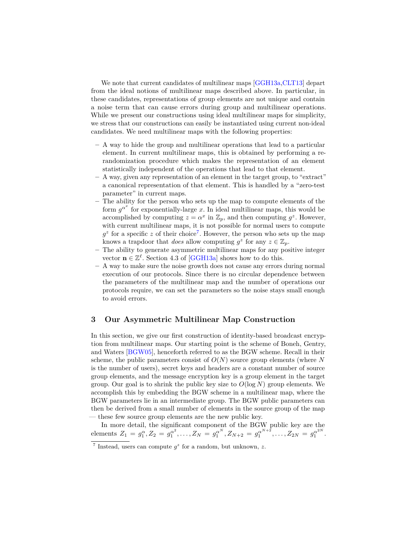We note that current candidates of multilinear maps [\[GGH13a](#page-17-5), CLT13] depart from the ideal notions of multilinear maps described above. In particular, in these candidates, representations of group elements are not unique and contain a noise term that can cause errors during group and multilinear operations. While we present our constructions using ideal multilinear maps for simplicity, we stress that our constructions can easily be instantiated using current non-ideal candidates. We need multilinear maps with the following properties:

- **–** A way to hide the group and multilinear operations that lead to a particular element. In current multilinear maps, this is obtained by performing a rerandomization procedure which makes the representation of an element statistically independent of the operations that lead to that element.
- **–** A way, given any representation of an element in the target group, to "extract" a canonical representation of that element. This is handled by a "zero-test parameter" in current maps.
- **–** The ability for the person who sets up the map to compute elements of the form  $g^{\alpha^x}$  for exponentially-large *x*. In ideal multilinear maps, this would be accomplished by computing  $z = \alpha^x$  in  $\mathbb{Z}_p$ , and then computing  $g^z$ . However, with current multilinear maps, it is not possible for normal users to compute  $g^z$  for a specific *z* of their choice<sup>[7](#page-5-0)</sup>. However, the person who sets up the map knows a trapdoor that *does* allow computing  $g^z$  for any  $z \in \mathbb{Z}_p$ .
- **–** The ability to generate asymmetric multilinear maps for any positive integer vector  $\mathbf{n} \in \mathbb{Z}^{\ell}$ . Section 4.3 of [\[GGH13a\]](#page-17-5) shows how to do this.
- **–** A way to make sure the noise growth does not cause any errors during normal execution of our protocols. Since there is no circular dependence between the parameters of the multilinear map and the number of operations our protocols require, we can set the parameters so the noise stays small enough to avoid errors.

## <span id="page-5-1"></span>**3 Our Asymmetric Multilinear Map Construction**

In this section, we give our first construction of identity-based broadcast encryption from multilinear maps. Our starting point is the scheme of Boneh, Gentry, and Waters [\[BGW05\]](#page-16-0), henceforth referred to as the BGW scheme. Recall in their scheme, the public parameters consist of *O*(*N*) source group elements (where *N* is the number of users), secret keys and headers are a constant number of source group elements, and the message encryption key is a group element in the target group. Our goal is to shrink the public key size to  $O(\log N)$  group elements. We accomplish this by embedding the BGW scheme in a multilinear map, where the BGW parameters lie in an intermediate group. The BGW public parameters can then be derived from a small number of elements in the source group of the map — these few source group elements are the new public key.

In more detail, the significant component of the BGW public key are the elements  $Z_1 = g_1^{\alpha}, Z_2 = g_1^{\alpha^2}, \dots, Z_N = g_1^{\alpha^N}, Z_{N+2} = g_1^{\alpha^{N+2}}, \dots, Z_{2N} = g_1^{\alpha^{2N}}.$ 

<span id="page-5-0"></span><sup>&</sup>lt;sup>7</sup> Instead, users can compute  $g^z$  for a random, but unknown, *z*.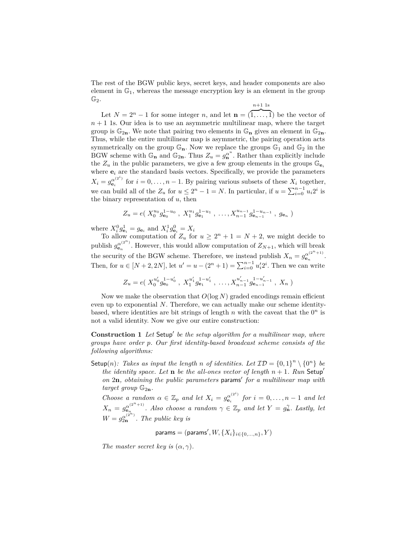The rest of the BGW public keys, secret keys, and header components are also element in  $\mathbb{G}_1$ , whereas the message encryption key is an element in the group  $\mathbb{G}_2.$ 

$$
n+1
$$
 1s

Let  $N = 2^n - 1$  for some integer *n*, and let  $\mathbf{n} = (\overline{1, \ldots, 1})$  be the vector of  $n+1$  1s. Our idea is to use an asymmetric multilinear map, where the target group is  $\mathbb{G}_{2n}$ . We note that pairing two elements in  $\mathbb{G}_{n}$  gives an element in  $\mathbb{G}_{2n}$ . Thus, while the entire multilinear map is asymmetric, the pairing operation acts symmetrically on the group  $\mathbb{G}_n$ . Now we replace the groups  $\mathbb{G}_1$  and  $\mathbb{G}_2$  in the BGW scheme with  $\mathbb{G}_n$  and  $\mathbb{G}_{2n}$ . Thus  $Z_u = g_n^{\alpha^u}$ . Rather than explicitly include the  $Z_u$  in the public parameters, we give a few group elements in the groups  $\mathbb{G}_{\mathbf{e}_i}$ where  $e_i$  are the standard basis vectors. Specifically, we provide the parameters  $X_i = g_{\mathbf{e}_i}^{\alpha^{(2^i)}}$  $e_i^{(\alpha)}$  for  $i = 0, \ldots, n - 1$ . By pairing various subsets of these  $X_i$  together, we can build all of the  $Z_u$  for  $u \leq 2^n - 1 = N$ . In particular, if  $u = \sum_{i=0}^{n-1} u_i 2^i$  is the binary representation of *u*, then

$$
Z_u = e(X_0^{u_0} g_{\mathbf{e}_0}^{1-u_0}, X_1^{u_1} g_{\mathbf{e}_1}^{1-u_1}, \dots, X_{n-1}^{u_{n-1}} g_{\mathbf{e}_{n-1}}^{1-u_{n-1}}, g_{\mathbf{e}_n})
$$

where  $X_i^0 g_{\mathbf{e}_i}^1 = g_{\mathbf{e}_i}$  and  $X_i^1 g_{\mathbf{e}_i}^0 = X_i$ 

To allow computation of  $Z_u$  for  $u \geq 2^n + 1 = N + 2$ , we might decide to publish  $g_{\mathbf{e}_n}^{\alpha^{(2^n)}}$ . However, this would allow computation of  $Z_{N+1}$ , which will break the security of the BGW scheme. Therefore, we instead publish  $X_n = g_{\mathbf{e}_n}^{\alpha^{(2^n+1)}}$  $\frac{\alpha^{(2)}+1}{n}$ . Then, for  $u \in [N+2, 2N]$ , let  $u' = u - (2^n + 1) = \sum_{i=0}^{n-1} u'_i 2^i$ . Then we can write

$$
Z_u = e\left(X_0^{u'_0} g_{\mathbf{e}_0}^{1-u'_0}, X_1^{u'_1} g_{\mathbf{e}_1}^{1-u'_1}, \dots, X_{n-1}^{u'_{n-1}} g_{\mathbf{e}_{n-1}}^{1-u'_{n-1}}, X_n\right)
$$

Now we make the observation that *O*(log *N*) graded encodings remain efficient even up to exponential *N*. Therefore, we can actually make our scheme identitybased, where identities are bit strings of length  $n$  with the caveat that the  $0<sup>n</sup>$  is not a valid identity. Now we give our entire construction:

<span id="page-6-0"></span>**Construction 1** Let Setup' be the setup algorithm for a multilinear map, where *groups have order p. Our first identity-based broadcast scheme consists of the following algorithms:*

Setup(*n*)*:* Takes as input the length *n* of identities. Let  $\mathcal{ID} = \{0, 1\}^n \setminus \{0^n\}$  be *the identity space. Let* **n** *be the all-ones vector of length*  $n + 1$ *. Run* Setup<sup>'</sup> *on* 2n, obtaining the public parameters params' for a multilinear map with *target group*  $\mathbb{G}_{2n}$ *.* 

*Choose a random*  $\alpha \in \mathbb{Z}_p$  *and let*  $X_i = g_{\mathbf{e}_i}^{\alpha^{(2^i)}}$  $e_i^{\alpha^{(2)}}$  *for*  $i = 0, \ldots, n - 1$  *and let*  $X_n = g_{\mathbf{e}_n}^{\alpha^{(2^n+1)}}$  $\mathbf{e}_{n}^{(\alpha^{(2^{n}+1)})}$ . Also choose a random  $\gamma \in \mathbb{Z}_{p}$  and let  $Y = g_{\mathbf{n}}^{\gamma}$ . Lastly, let  $W = g_{2n}^{\alpha^{(2^n)}}$ . The public key is

 $\mathsf{params} = (\mathsf{params}', W, \{X_i\}_{i \in \{0, ..., n\}}, Y)$ 

*The master secret key is*  $(\alpha, \gamma)$ *.*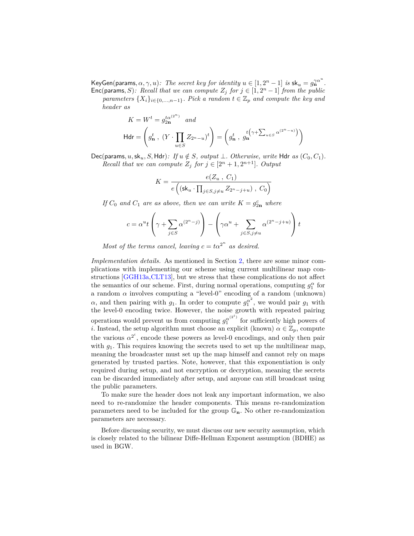$\mathsf{KeyGen}(\mathsf{params}, \alpha, \gamma, u)$ : The secret key for identity  $u \in [1, 2^n - 1]$  is  $\mathsf{sk}_u = g_{\mathbf{n}}^{\gamma \alpha^u}$ . Enc(params, *S*): *Recall that we can compute*  $Z_j$  *for*  $j \in [1, 2^n - 1]$  *from the public* 

*parameters*  $\{X_i\}_{i \in \{0,\ldots,n-1\}}$ *. Pick a random*  $t \in \mathbb{Z}_p$  *and compute the key and header as*

$$
K = W^t = g_{2n}^{t\alpha^{(2^n)}} \quad and
$$
  
\n
$$
\mathsf{H} \mathsf{d} \mathsf{r} = \left( g_{n}^t \,, \, \left( Y \cdot \prod_{u \in S} Z_{2^n - u} \right)^t \right) = \left( g_{n}^t \,, \, g_{n}^{t \left( \gamma + \sum_{u \in S} \alpha^{(2^n - u)} \right)} \right)
$$

Dec(params,  $u$ , sk<sub>u</sub>, S, Hdr): If  $u \notin S$ , output  $\perp$ . Otherwise, write Hdr as  $(C_0, C_1)$ . *Recall that we can compute*  $Z_j$  *for*  $j \in [2^n + 1, 2^{n+1}]$ *. Output* 

$$
K = \frac{e(Z_u, C_1)}{e\left( (\mathsf{sk}_u \cdot \prod_{j \in S, j \neq u} Z_{2^n - j + u}), C_0 \right)}
$$

*If*  $C_0$  *and*  $C_1$  *are as above, then we can write*  $K = g_{2n}^c$  *where* 

$$
c = \alpha^u t \left( \gamma + \sum_{j \in S} \alpha^{(2^n - j)} \right) - \left( \gamma \alpha^u + \sum_{j \in S, j \neq u} \alpha^{(2^n - j + u)} \right) t
$$

*Most of the terms cancel, leaving*  $c = t\alpha^2$ <sup>*n*</sup> *as desired.* 

*Implementation details.* As mentioned in Section [2,](#page-2-0) there are some minor complications with implementing our scheme using current multilinear map constructions [\[GGH13a,](#page-17-5)[CLT13\]](#page-17-7), but we stress that these complications do not affect the semantics of our scheme. First, during normal operations, computing  $g_1^{\alpha}$  for a random  $\alpha$  involves computing a "level-0" encoding of a random (unknown) *α*, and then pairing with  $g_1$ . In order to compute  $g_1^{\alpha^2}$ , we would pair  $g_1$  with the level-0 encoding twice. However, the noise growth with repeated pairing operations would prevent us from computing  $g_1^{\alpha^{(2^i)}}$  $\int_{1}^{\alpha^{(2)}}$  for sufficiently high powers of *i*. Instead, the setup algorithm must choose an explicit (known)  $\alpha \in \mathbb{Z}_p$ , compute the various  $\alpha^{2^i}$ , encode these powers as level-0 encodings, and only then pair with  $g_1$ . This requires knowing the secrets used to set up the multilinear map, meaning the broadcaster must set up the map himself and cannot rely on maps generated by trusted parties. Note, however, that this exponentiation is only required during setup, and not encryption or decryption, meaning the secrets can be discarded immediately after setup, and anyone can still broadcast using the public parameters.

To make sure the header does not leak any important information, we also need to re-randomize the header components. This means re-randomization parameters need to be included for the group G**n**. No other re-randomization parameters are necessary.

Before discussing security, we must discuss our new security assumption, which is closely related to the bilinear Diffe-Hellman Exponent assumption (BDHE) as used in BGW.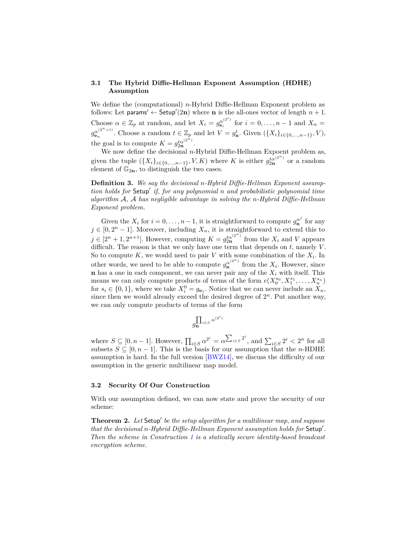# **3.1 The Hybrid Diffie-Hellman Exponent Assumption (HDHE) Assumption**

We define the (computational) *n*-Hybrid Diffie-Hellman Exponent problem as follows: Let params'  $\leftarrow$  Setup'(2n) where **n** is the all-ones vector of length  $n + 1$ . Choose  $\alpha \in \mathbb{Z}_p$  at random, and let  $X_i = g_{\mathbf{e}_i}^{\alpha^{(2^i)}}$  $e_i^{\alpha^{(2)}}$  for  $i = 0, \ldots, n - 1$  and  $X_n =$  $g_{\mathbf{e}_n}^{\alpha^{(2^n+1)}}$  $e_n^{(2^{n+1})}$ . Choose a random  $t \in \mathbb{Z}_p$  and let  $V = g_n^t$ . Given  $(\{X_i\}_{i \in \{0,\ldots,n-1\}}, V)$ , the goal is to compute  $K = g_{2n}^{t\alpha^{(2^n)}}$ .

We now define the decisional *n*-Hybrid Diffie-Hellman Expoent problem as, given the tuple  $({X_i}_{i \in \{0,\ldots,n-1\}}, V, K)$  where *K* is either  $g_{2n}^{t\alpha^{(2^n)}}$  or a random element of  $\mathbb{G}_{2n}$ , to distinguish the two cases.

**Definition 3.** *We say the decisional n-Hybrid Diffie-Hellman Exponent assumption holds for* Setup' if, for any polynomial *n* and probabilistic polynomial time *algorithm* A*,* A *has negligible advantage in solving the n-Hybrid Diffie-Hellman Exponent problem.*

Given the  $X_i$  for  $i = 0, \ldots, n-1$ , it is straightforward to compute  $g_n^{\alpha^j}$  for any  $j \in [0, 2<sup>n</sup> - 1]$ . Moreover, including  $X_n$ , it is straightforward to extend this to  $j \in [2^n + 1, 2^{n+1}]$ . However, computing  $K = g_{2n}^{t\alpha^{(2^n)}}$  from the  $X_i$  and *V* appears difficult. The reason is that we only have one term that depends on *t*, namely *V* . So to compute *K*, we would need to pair *V* with some combination of the *X<sup>i</sup>* . In other words, we need to be able to compute  $g_{\mathbf{n}}^{\alpha^{(2^n)}}$  from the  $X_i$ . However, since **n** has a one in each component, we can never pair any of the  $X_i$  with itself. This means we can only compute products of terms of the form  $e(X_0^{s_0}, X_1^{s_1}, \ldots, X_n^{s_n})$ for  $s_i \in \{0, 1\}$ , where we take  $X_i^0 = g_{\mathbf{e}_1}$ . Notice that we can never include an  $X_n$ , since then we would already exceed the desired degree of  $2<sup>n</sup>$ . Put another way, we can only compute products of terms of the form

$$
g_{\mathbf{n}}^{\prod_{i \in S} \alpha^{(2^i)}}
$$

where  $S \subseteq [0, n-1]$ . However,  $\prod_{i \in S} \alpha^{2^i} = \alpha^{\sum_{i \in S} 2^i}$ , and  $\sum_{i \in S} 2^i < 2^n$  for all subsets  $S \subseteq [0, n-1]$ . This is the basis for our assumption that the *n*-HDHE assumption is hard. In the full version [\[BWZ14\]](#page-16-6), we discuss the difficulty of our assumption in the generic multilinear map model.

#### **3.2 Security Of Our Construction**

With our assumption defined, we can now state and prove the security of our scheme:

**Theorem 2.** Let Setup' be the setup algorithm for a multilinear map, and suppose *that the decisional n-Hybrid Diffie-Hellman Exponent assumption holds for* Setup'. *Then the scheme in Construction [1](#page-6-0) is a statically secure identity-based broadcast encryption scheme.*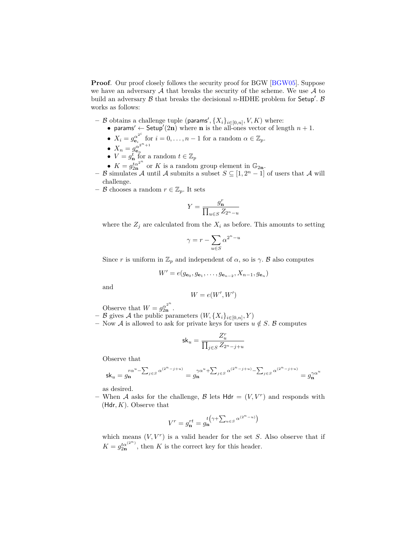**Proof***.* Our proof closely follows the security proof for BGW [\[BGW05\]](#page-16-0). Suppose we have an adversary  $A$  that breaks the security of the scheme. We use  $A$  to build an adversary  $\beta$  that breaks the decisional *n*-HDHE problem for Setup'.  $\beta$ works as follows:

- $-$  *B* obtains a challenge tuple (params',  $\{X_i\}_{i \in [0,n]}, V, K$ ) where:
	- params'  $\leftarrow$  Setup'(2n) where **n** is the all-ones vector of length  $n + 1$ .
	- $X_i = g_{e_i}^{\alpha^{2^i}}$  $\frac{\alpha^{2^i}}{\mathbf{e}_i}$  for  $i = 0, \ldots, n-1$  for a random  $\alpha \in \mathbb{Z}_p$ .
	- $X_n = g_{e_n}^{\alpha^{2^n+1}}$
	- $X_n = g_{\mathbf{e}_n}$ <br>•  $V = g_{\mathbf{n}}^t$  for a random  $t \in \mathbb{Z}_p$
	- $K = g_{2n}^{t\alpha^{2^n}}$  or *K* is a random group element in  $\mathbb{G}_{2n}$ .
- $−$  B simulates A until A submits a subset  $S \subseteq [1, 2<sup>n</sup> 1]$  of users that A will challenge.
- − B chooses a random  $r \in \mathbb{Z}_p$ . It sets

$$
Y = \frac{g_{\mathbf{n}}^r}{\prod_{u \in S} Z_{2^n - u}}
$$

where the  $Z_j$  are calculated from the  $X_i$  as before. This amounts to setting

$$
\gamma = r - \sum_{u \in S} \alpha^{2^n - u}
$$

Since *r* is uniform in  $\mathbb{Z}_p$  and independent of  $\alpha$ , so is  $\gamma$ . B also computes

$$
W' = e(g_{\mathbf{e}_0}, g_{\mathbf{e}_1}, \dots, g_{\mathbf{e}_{n-2}}, X_{n-1}, g_{\mathbf{e}_n})
$$

and

$$
W = e(W', W')
$$

Observe that  $W = g_{2n}^{\alpha^{2^n}}$ .

- $-$  B gives A the public parameters  $(W, \{X_i\}_{i \in [0,n]}, Y)$
- **−** Now *A* is allowed to ask for private keys for users  $u \notin S$ . **B** computes

$$
\mathsf{sk}_u = \frac{Z^r_u}{\prod_{j \in S} Z_{2^n-j+u}}
$$

Observe that

$$
\mathsf{sk}_u = g_{\mathbf{n}}^{r\alpha^u - \sum_{j \in S} \alpha^{(2^n-j+u)}} = g_{\mathbf{n}}^{\gamma\alpha^u + \sum_{j \in S} \alpha^{(2^n-j+u)} - \sum_{j \in S} \alpha^{(2^n-j+u)}} = g_{\mathbf{n}}^{\gamma\alpha^u}
$$

as desired.

– When A asks for the challenge, B lets  $Hdr = (V, V^r)$  and responds with (Hdr*, K*). Observe that

$$
V^r = g_{\mathbf{n}}^{rt} = g_{\mathbf{n}}^{t(\gamma + \sum_{u \in S} \alpha^{(2^n - u)})}
$$

which means  $(V, V^r)$  is a valid header for the set *S*. Also observe that if  $K = g_{2n}^{t\alpha^{(2^n)}}$ , then *K* is the correct key for this header.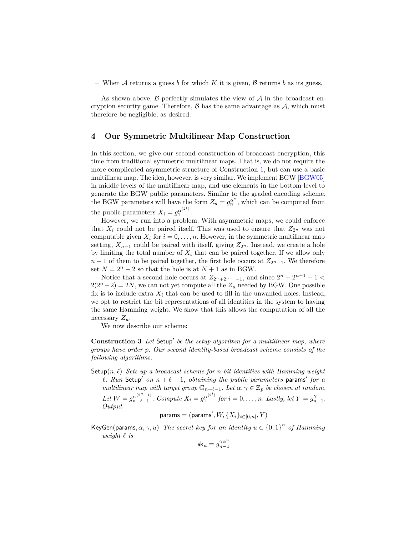– When A returns a guess b for which K it is given,  $\beta$  returns b as its guess.

As shown above,  $\beta$  perfectly simulates the view of  $\mathcal A$  in the broadcast encryption security game. Therefore,  $\beta$  has the same advantage as  $\mathcal{A}$ , which must therefore be negligible, as desired.

### **4 Our Symmetric Multilinear Map Construction**

In this section, we give our second construction of broadcast encryption, this time from traditional symmetric multilinear maps. That is, we do not require the more complicated asymmetric structure of Construction [1,](#page-6-0) but can use a basic multilinear map. The idea, however, is very similar. We implement BGW [\[BGW05\]](#page-16-0) in middle levels of the multilinear map, and use elements in the bottom level to generate the BGW public parameters. Similar to the graded encoding scheme, the BGW parameters will have the form  $Z_u = g_u^{\alpha^u}$ , which can be computed from the public parameters  $X_i = g_1^{\alpha^{(2^i)}}$  $\frac{\alpha}{1}$ .

However, we run into a problem. With asymmetric maps, we could enforce that  $X_i$  could not be paired itself. This was used to ensure that  $Z_{2^n}$  was not computable given  $X_i$  for  $i = 0, \ldots, n$ . However, in the symmetric multilinear map setting,  $X_{n-1}$  could be paired with itself, giving  $Z_{2^n}$ . Instead, we create a hole by limiting the total number of  $X_i$  that can be paired together. If we allow only *n* − 1 of them to be paired together, the first hole occurs at  $Z_{2n-1}$ . We therefore set  $N = 2<sup>n</sup> - 2$  so that the hole is at  $N + 1$  as in BGW.

Notice that a second hole occurs at  $Z_{2n+2n-1-1}$ , and since  $2^{n} + 2^{n-1} - 1 <$  $2(2^{n}-2) = 2N$ , we can not yet compute all the  $Z_u$  needed by BGW. One possible fix is to include extra  $X_i$  that can be used to fill in the unwanted holes. Instead, we opt to restrict the bit representations of all identities in the system to having the same Hamming weight. We show that this allows the computation of all the necessary *Zu*.

We now describe our scheme:

<span id="page-10-0"></span>**Construction 3** Let Setup' be the setup algorithm for a multilinear map, where *groups have order p. Our second identity-based broadcast scheme consists of the following algorithms:*

Setup $(n, \ell)$  *Sets up a broadcast scheme for n-bit identities with Hamming weight*  $\ell$ . Run Setup<sup> $\ell$ </sup> on  $n + \ell - 1$ , obtaining the public parameters params' for a *multilinear map with target group*  $\mathbb{G}_{n+\ell-1}$ *. Let*  $\alpha, \gamma \in \mathbb{Z}_p$  *be chosen at random. Let*  $W = g_{n+\ell-1}^{\alpha^{(2^{n}-1)}}$  $a_{n+\ell-1}^{(\alpha^{(2^n-1)})}$ *. Compute*  $X_i = g_1^{\alpha^{(2^i)}}$  $f_1^{\alpha^{(2^k)}}$  for  $i = 0, ..., n$ *. Lastly, let*  $Y = g_{n-1}^{\gamma}$ *. Output*

$$
\mathsf{params} = (\mathsf{params}', W, \{X_i\}_{i \in [0,n]}, Y)
$$

KeyGen(params,  $\alpha$ ,  $\gamma$ , *u*) *The secret key for an identity*  $u \in \{0,1\}^n$  *of Hamming weight*  $\ell$  *is* 

 $\mathsf{sk}_u = g_{n-1}^{\gamma \alpha^u}$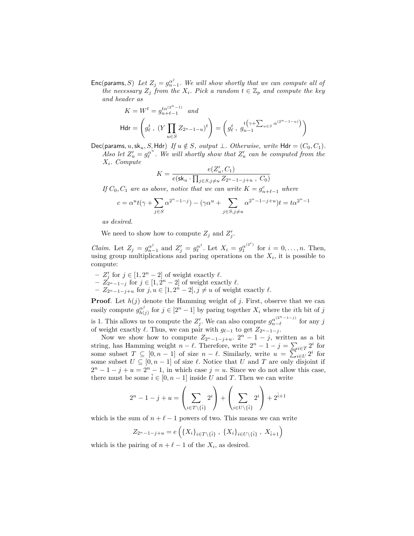Enc(params, S) Let  $Z_j = g_{n-1}^{\alpha^j}$ . We will show shortly that we can compute all of *the necessary*  $Z_j$  *from the*  $X_i$ *. Pick a random*  $t \in \mathbb{Z}_p$  *and compute the key and header as*

$$
K = W^t = g_{n+\ell-1}^{t\alpha^{(2^n-1)}} \quad \text{and}
$$
\n
$$
\mathsf{H} \mathsf{d} \mathsf{r} = \left( g_\ell^t \,, \, \left( Y \prod_{u \in S} Z_{2^n - 1 - u} \right)^t \right) = \left( g_\ell^t \,, \, g_{n-1}^{t \left( \gamma + \sum_{u \in S} \alpha^{(2^n - 1 - u)} \right)} \right)
$$

Dec(params, u,sk<sub>u</sub>, S, Hdr) If  $u \notin S$ , output  $\perp$ . Otherwise, write Hdr =  $(C_0, C_1)$ . *Also let*  $Z'_u = g_\ell^{\alpha^u}$ . We will shortly show that  $Z'_u$  can be computed from the

*Xi. Compute*

$$
K = \frac{e(Z_u', C_1)}{e(\textsf{sk}_u \cdot \prod_{j \in S, j \neq u} Z_{2^n-1-j+u} \;,\; C_0)}
$$

*If*  $C_0$ ,  $C_1$  *are as above, notice that we can write*  $K = g_{n+\ell-1}^c$  *where* 

$$
c = \alpha^{u} t(\gamma + \sum_{j \in S} \alpha^{2^{n} - 1 - j}) - (\gamma \alpha^{u} + \sum_{j \in S, j \neq u} \alpha^{2^{n} - 1 - j + u}) t = t \alpha^{2^{n} - 1}
$$

*as desired.*

We need to show how to compute  $Z_j$  and  $Z'_j$ .

*Claim.* Let  $Z_j = g_{n-1}^{\alpha^j}$  and  $Z'_j = g_{\ell}^{\alpha^j}$ . Let  $X_i = g_1^{\alpha^{(2^i)}}$  $\int_{1}^{\alpha^{(2)}}$  for  $i = 0, \ldots, n$ . Then, using group multiplications and paring operations on the  $X_i$ , it is possible to compute:

- $− Z'_j$  for  $j \in [1, 2<sup>n</sup> 2]$  of weight exactly  $\ell$ .
- $-$  *Z*<sub>2</sub><sup>*n*</sup>−1−*j* for *j* ∈ [1*,* 2<sup>*n*</sup> − 2] of weight exactly  $\ell$ .
- $-$  *Z*<sub>2<sup>*n*</sup>−1−*j*+*u*</sub> for *j*,  $u \in [1, 2<sup>n</sup> 2]$ ,  $j \neq u$  of weight exactly  $\ell$ .

**Proof***.* Let  $h(j)$  denote the Hamming weight of *j*. First, observe that we can easily compute  $g_{h}^{\alpha^j}$  $h_{(j)}^{\alpha^j}$  for  $j \in [2^n - 1]$  by paring together  $X_i$  where the *i*th bit of *j* is 1. This allows us to compute the  $Z'_{j}$ . We can also compute  $g_{n-\ell}^{\alpha^{(2^{n}-1-j)}}$  $\int_{n-\ell}^{\alpha^{\prime}}$  for any *j* of weight exactly  $\ell$ . Thus, we can pair with  $g_{\ell-1}$  to get  $Z_{2^n-1-j}$ .

Now we show how to compute  $Z_{2^n-1-j+u}$ .  $2^n-1-j$ , written as a bit string, has Hamming weight *n* −  $\ell$ . Therefore, write  $2^{n} - 1 - j = \sum_{i \in T} 2^{i}$  for some subset  $T \subseteq [0, n-1]$  of size  $n - \ell$ . Similarly, write  $u = \sum_{i \in U} 2^i$  for some subset  $U \subseteq [0, n-1]$  of size  $\ell$ . Notice that  $U$  and  $T$  are only disjoint if  $2^{n} - 1 - j + u = 2^{n} - 1$ , in which case  $j = u$ . Since we do not allow this case, there must be some  $\hat{i} \in [0, n-1]$  inside *U* and *T*. Then we can write

$$
2^{n} - 1 - j + u = \left(\sum_{i \in T \setminus \{\hat{i}\}} 2^{i}\right) + \left(\sum_{i \in U \setminus \{\hat{i}\}} 2^{i}\right) + 2^{\hat{i}+1}
$$

which is the sum of  $n + \ell - 1$  powers of two. This means we can write

$$
Z_{2^{n}-1-j+u} = e\left(\{X_i\}_{i \in T \setminus \{\hat{i}\}}, \ \{X_i\}_{i \in U \setminus \{\hat{i}\}}, \ X_{\hat{i}+1}\right)
$$

which is the pairing of  $n + \ell - 1$  of the  $X_i$ , as desired.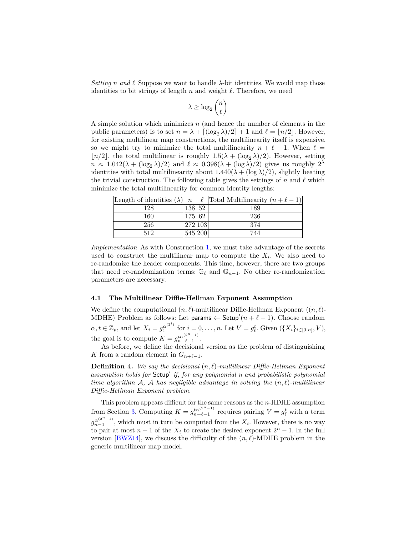*Setting n* and  $\ell$  Suppose we want to handle  $\lambda$ -bit identities. We would map those identities to bit strings of length  $n$  and weight  $\ell$ . Therefore, we need

$$
\lambda \ge \log_2 \binom{n}{\ell}
$$

A simple solution which minimizes *n* (and hence the number of elements in the public parameters) is to set  $n = \lambda + \lfloor (\log_2 \lambda)/2 \rfloor + 1$  and  $\ell = \lfloor n/2 \rfloor$ . However, for existing multilinear map constructions, the multilinearity itself is expensive, so we might try to minimize the total multilinearity  $n + \ell - 1$ . When  $\ell =$  $\lfloor n/2 \rfloor$ , the total multilinear is roughly  $1.5(\lambda + (\log_2 \lambda)/2)$ . However, setting  $n \approx 1.042(\lambda + (\log_2 \lambda)/2)$  and  $\ell \approx 0.398(\lambda + (\log \lambda)/2)$  gives us roughly  $2^{\lambda}$ identities with total multilinearity about  $1.440(\lambda + (\log \lambda)/2)$ , slightly beating the trivial construction. The following table gives the settings of *n* and  $\ell$  which minimize the total multilinearity for common identity lengths:

| Length of identities $(\lambda)$ |         |        | $n \mid \ell$ Total Multilinearity $(n+\ell-1)$ |
|----------------------------------|---------|--------|-------------------------------------------------|
| 128                              |         | 138 52 | 189                                             |
| 160                              |         | 175 62 | 236                                             |
| 256                              | 272 103 |        | 374                                             |
| 512                              | 545 200 |        | 744                                             |

*Implementation* As with Construction [1,](#page-6-0) we must take advantage of the secrets used to construct the multilinear map to compute the  $X_i$ . We also need to re-randomize the header components. This time, however, there are two groups that need re-randomization terms:  $\mathbb{G}_{\ell}$  and  $\mathbb{G}_{n-1}$ . No other re-randomization parameters are necessary.

### **4.1 The Multilinear Diffie-Hellman Exponent Assumption**

We define the computational  $(n, \ell)$ -multilinear Diffie-Hellman Exponent  $((n, \ell)$ -MDHE) Problem as follows: Let params  $\leftarrow$  Setup'( $n + \ell - 1$ ). Choose random  $\alpha, t \in \mathbb{Z}_p$ , and let  $X_i = g_1^{\alpha^{(2^i)}}$  $f_1^{\alpha^{(2^*)}}$  for  $i = 0, ..., n$ . Let  $V = g_{\ell}^t$ . Given  $(\{X_i\}_{i \in [0,n]}, V)$ , the goal is to compute  $K = g_{n+\ell-1}^{t\alpha^{(2^n-1)}}$ .

As before, we define the decisional version as the problem of distinguishing *K* from a random element in  $G_{n+\ell-1}$ .

**Definition 4.** We say the decisional  $(n, \ell)$ -multilinear Diffie-Hellman Exponent assumption holds for Setup' if, for any polynomial n and probabilistic polynomial *time algorithm* A, A has negligible advantage in solving the  $(n, \ell)$ -multilinear *Diffie-Hellman Exponent problem.*

This problem appears difficult for the same reasons as the *n*-HDHE assumption from Section [3.](#page-5-1) Computing  $K = g_{n+\ell-1}^{t\alpha^{(2^{n}-1)}}$  requires pairing  $V = g_{\ell}^{t}$  with a term  $g_{n-1}^{\alpha^{(2^n-1)}}$  $n_{n-1}^{\alpha^{(2)}(-1)}$ , which must in turn be computed from the  $X_i$ . However, there is no way to pair at most  $n-1$  of the  $X_i$  to create the desired exponent  $2^n - 1$ . In the full version [\[BWZ14\]](#page-16-6), we discuss the difficulty of the  $(n, \ell)$ -MDHE problem in the generic multilinear map model.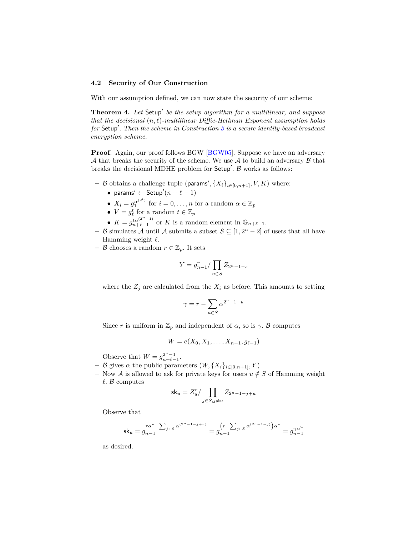### **4.2 Security of Our Construction**

With our assumption defined, we can now state the security of our scheme:

**Theorem 4.** Let Setup' be the setup algorithm for a multilinear, and suppose *that the decisional*  $(n, \ell)$ -multilinear Diffie-Hellman Exponent assumption holds for Setup'. Then the scheme in Construction [3](#page-10-0) is a secure identity-based broadcast *encryption scheme.*

**Proof**. Again, our proof follows BGW [\[BGW05\]](#page-16-0). Suppose we have an adversary A that breaks the security of the scheme. We use A to build an adversary  $\beta$  that breaks the decisional MDHE problem for  $Setup'$ .  $\beta$  works as follows:

- $-$  *B* obtains a challenge tuple (params',  ${X_i}_{i \in [0,n+1]}$ ,  $V$ ,  $K$ ) where:
	- params'  $\leftarrow$  Setup' $(n + \ell 1)$
	- $X_i = g_1^{\alpha^{(2^i)}}$  $f_1^{\alpha^{(2^i)}}$  for  $i = 0, ..., n$  for a random  $\alpha \in \mathbb{Z}_p$
	- $V = g_{\ell}^t$  for a random  $t \in \mathbb{Z}_p$
	- $K = g_{n+\ell-1}^{t\alpha^{(2^{n}-1)}}$  or  $K$  is a random element in  $\mathbb{G}_{n+\ell-1}$ .
- **−** B simulates A until A submits a subset  $S \subseteq [1, 2<sup>n</sup> 2]$  of users that all have Hamming weight  $\ell$ .
- − B chooses a random  $r \in \mathbb{Z}_p$ . It sets

$$
Y = g_{n-1}^r / \prod_{u \in S} Z_{2^n - 1 - s}
$$

where the  $Z_j$  are calculated from the  $X_i$  as before. This amounts to setting

$$
\gamma = r - \sum_{u \in S} \alpha^{2^n - 1 - u}
$$

Since *r* is uniform in  $\mathbb{Z}_p$  and independent of  $\alpha$ , so is  $\gamma$ . B computes

$$
W = e(X_0, X_1, \dots, X_{n-1}, g_{\ell-1})
$$

Observe that  $W = g_{n+\ell-1}^{2^{n}-1}$ .

- **–** B gives *α* the public parameters (*W,* {*Xi*}*i*∈[0*,n*+1]*, Y* )
- **−** Now *A* is allowed to ask for private keys for users  $u \notin S$  of Hamming weight  $\ell$ . B computes

$$
\mathsf{sk}_u = Z_u^r / \prod_{j \in S, j \neq u} Z_{2^n - 1 - j + u}
$$

Observe that

$$
\mathsf{sk}_u = g_{n-1}^{r\alpha^u - \sum_{j \in S} \alpha^{(2^n - 1 - j + u)}} = g_{n-1}^{(r - \sum_{j \in S} \alpha^{(2n - 1 - j)})\alpha^u} = g_{n-1}^{\gamma \alpha^u}
$$

as desired.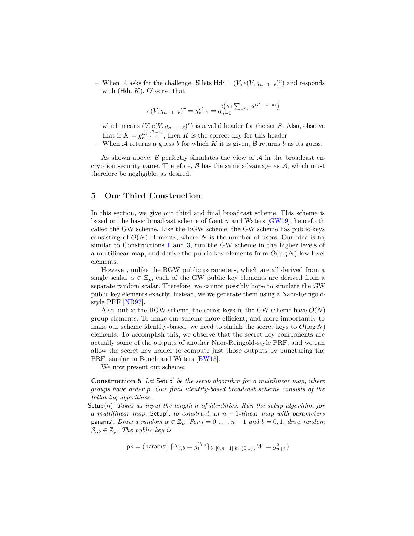$\blacktriangle$  When *A* asks for the challenge, *B* lets Hdr = (*V*,  $e(V, g_{n-1-\ell})^r$ ) and responds with (Hdr*, K*). Observe that

$$
e(V, g_{n-1-\ell})^r = g_{n-1}^{rt} = g_{n-1}^{t(\gamma + \sum_{u \in S} \alpha^{(2^n - 1 - u)})}
$$

which means  $(V, e(V, g_{n-1-\ell})^r)$  is a valid header for the set *S*. Also, observe that if  $K = g_{n+\ell-1}^{i\alpha^{(2n-1)}}$ , then *K* is the correct key for this header.

**–** When A returns a guess *b* for which *K* it is given, B returns *b* as its guess.

As shown above,  $\beta$  perfectly simulates the view of  $\mathcal A$  in the broadcast encryption security game. Therefore,  $\beta$  has the same advantage as  $\mathcal{A}$ , which must therefore be negligible, as desired.

# **5 Our Third Construction**

In this section, we give our third and final broadcast scheme. This scheme is based on the basic broadcast scheme of Gentry and Waters [\[GW09\]](#page-17-1), henceforth called the GW scheme. Like the BGW scheme, the GW scheme has public keys consisting of  $O(N)$  elements, where N is the number of users. Our idea is to, similar to Constructions [1](#page-6-0) and [3,](#page-10-0) run the GW scheme in the higher levels of a multilinear map, and derive the public key elements from *O*(log *N*) low-level elements.

However, unlike the BGW public parameters, which are all derived from a single scalar  $\alpha \in \mathbb{Z}_p$ , each of the GW public key elements are derived from a separate random scalar. Therefore, we cannot possibly hope to simulate the GW public key elements exactly. Instead, we we generate them using a Naor-Reingoldstyle PRF [\[NR97\]](#page-17-18).

Also, unlike the BGW scheme, the secret keys in the GW scheme have *O*(*N*) group elements. To make our scheme more efficient, and more importantly to make our scheme identity-based, we need to shrink the secret keys to  $O(\log N)$ elements. To accomplish this, we observe that the secret key components are actually some of the outputs of another Naor-Reingold-style PRF, and we can allow the secret key holder to compute just those outputs by puncturing the PRF, similar to Boneh and Waters [\[BW13\]](#page-16-2).

<span id="page-14-0"></span>We now present out scheme:

**Construction 5** Let Setup' be the setup algorithm for a multilinear map, where *groups have order p. Our final identity-based broadcast scheme consists of the following algorithms:*

Setup(*n*) *Takes as input the length n of identities. Run the setup algorithm for a multilinear map,* Setup', to construct an  $n + 1$ -linear map with parameters  $\alpha$  *params'. Draw a random*  $\alpha \in \mathbb{Z}_p$ *. For*  $i = 0, \ldots, n - 1$  *and*  $b = 0, 1$ *, draw random*  $\beta_{i,b} \in \mathbb{Z}_p$ *. The public key is* 

$$
\mathsf{pk} = (\mathsf{params}', \{X_{i,b} = g_1^{\beta_{i,b}}\}_{i \in [0,n-1], b \in \{0,1\}}, W = g_{n+1}^{\alpha})
$$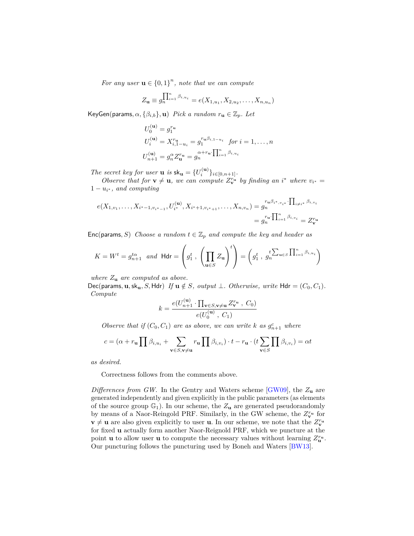*For any user*  $\mathbf{u} \in \{0,1\}^n$ , note that we can compute

$$
Z_{\mathbf{u}} \equiv g_n^{\prod_{i=1}^n \beta_{i,u_i}} = e(X_{1,u_1}, X_{2,u_2}, \dots, X_{n,u_n})
$$

 $KeyGen(params, \alpha, \{\beta_{i,b}\}, \mathbf{u})$  *Pick a random*  $r_{\mathbf{u}} \in \mathbb{Z}_p$ *. Let* 

$$
U_0^{(u)} = g_1^{r_u}
$$
  
\n
$$
U_i^{(u)} = X_{i,1-u_i}^{r_u} = g_1^{r_u \beta_{i,1-u_i}} \text{ for } i = 1,\dots,n
$$
  
\n
$$
U_{n+1}^{(u)} = g_n^{\alpha} Z_u^{r_u} = g_n^{\alpha + r_u} \prod_{i=1}^n \beta_{i,u_i}
$$

*The secret key for user* **u** *is*  $sk_u = \{U_i^{(u)}\}_{i \in [0, n+1]}$ *.* 

*Observe that for*  $\mathbf{v} \neq \mathbf{u}$ , we can compute  $Z_{\mathbf{v}}^{r_u}$  by finding an *i*<sup>\*</sup> where  $v_{i^*} =$  $1 - u_{i^*}$ , and computing

$$
e(X_{1,v_1},\ldots,X_{i^*-1,v_{i^*-1}},U_{i^*}^{(\mathbf{u})},X_{i^*+1,v_{i^*+1}},\ldots,X_{n,v_n}) = g_n^{r_{\mathbf{u}}\beta_{i^*,v_{i^*}}\cdot\prod_{i\neq i^*}\beta_{i,v_i}}
$$
  
=  $g_n^{r_{\mathbf{u}}\cdot\prod_{i=1}^n\beta_{i,v_i}} = Z_{\mathbf{v}}^{r_{\mathbf{u}}}$ 

Enc(params, S) Choose a random  $t \in \mathbb{Z}_p$  and compute the key and header as

$$
K = W^t = g_{n+1}^{t\alpha} \text{ and } \mathsf{H} \mathsf{dr} = \left( g_1^t , \left( \prod_{\mathbf{u} \in S} Z_{\mathbf{u}} \right)^t \right) = \left( g_1^t , g_n^{t \sum_{\mathbf{u} \in S} \prod_{i=1}^n \beta_{i, u_i}} \right)
$$

*where Z***<sup>u</sup>** *are computed as above.*

Dec(params,  $\mathbf{u}, \mathbf{sk}_{\mathbf{u}}, S, \text{Hdr}$ ) If  $\mathbf{u} \notin S$ , output  $\perp$ . Otherwise, write  $\text{Hdr} = (C_0, C_1)$ . *Compute*

$$
k = \frac{e(U_{n+1}^{(\mathbf{u})} \cdot \prod_{\mathbf{v} \in S, \mathbf{v} \neq \mathbf{u}} Z_{\mathbf{v}}^{r_{\mathbf{u}}} , C_0)}{e(U_0^{(\mathbf{u})}, C_1)}
$$

*Observe that if*  $(C_0, C_1)$  *are as above, we can write k as*  $g_{n+1}^c$  *where* 

$$
c = (\alpha + r_{\mathbf{u}} \prod \beta_{i, u_i} + \sum_{\mathbf{v} \in S, \mathbf{v} \neq \mathbf{u}} r_{\mathbf{u}} \prod \beta_{i, v_i}) \cdot t - r_{\mathbf{u}} \cdot (t \sum_{\mathbf{v} \in S} \prod \beta_{i, v_i}) = \alpha t
$$

*as desired.*

Correctness follows from the comments above.

*Differences from GW.* In the Gentry and Waters scheme [\[GW09\]](#page-17-1), the *Z***<sup>u</sup>** are generated independently and given explicitly in the public parameters (as elements of the source group  $\mathbb{G}_1$ ). In our scheme, the  $Z_u$  are generated pseudorandomly by means of a Naor-Reingold PRF. Similarly, in the GW scheme, the  $Z_{\mathbf{v}}^{r_u}$  for  $\mathbf{v} \neq \mathbf{u}$  are also given explicitly to user **u**. In our scheme, we note that the  $Z_{\mathbf{v}}^{r_u}$ for fixed **u** actually form another Naor-Reignold PRF, which we puncture at the point **u** to allow user **u** to compute the necessary values without learning  $Z_{\mathbf{u}}^{r_{\mathbf{u}}}$ . Our puncturing follows the puncturing used by Boneh and Waters [\[BW13\]](#page-16-2).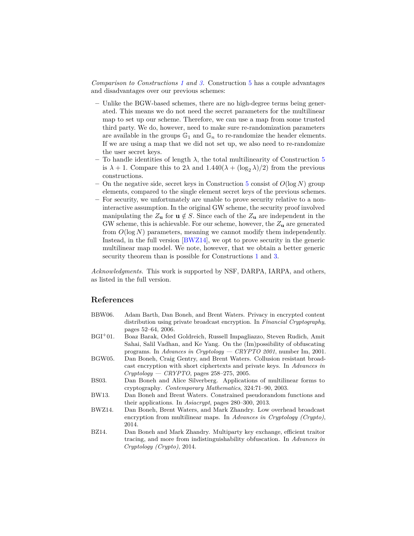*Comparison to Constructions [1](#page-6-0) and [3.](#page-10-0)* Construction [5](#page-14-0) has a couple advantages and disadvantages over our previous schemes:

- **–** Unlike the BGW-based schemes, there are no high-degree terms being generated. This means we do not need the secret parameters for the multilinear map to set up our scheme. Therefore, we can use a map from some trusted third party. We do, however, need to make sure re-randomization parameters are available in the groups  $\mathbb{G}_1$  and  $\mathbb{G}_n$  to re-randomize the header elements. If we are using a map that we did not set up, we also need to re-randomize the user secret keys.
- **–** To handle identities of length *λ*, the total multilinearity of Construction [5](#page-14-0) is  $\lambda + 1$ . Compare this to  $2\lambda$  and  $1.440(\lambda + (\log_2 \lambda)/2)$  from the previous constructions.
- **–** On the negative side, secret keys in Construction [5](#page-14-0) consist of *O*(log *N*) group elements, compared to the single element secret keys of the previous schemes.
- **–** For security, we unfortunately are unable to prove security relative to a noninteractive assumption. In the original GW scheme, the security proof involved manipulating the  $Z_u$  for  $u \notin S$ . Since each of the  $Z_u$  are independent in the GW scheme, this is achievable. For our scheme, however, the *Z***<sup>u</sup>** are generated from *O*(log *N*) parameters, meaning we cannot modify them independently. Instead, in the full version [\[BWZ14\]](#page-16-6), we opt to prove security in the generic multilinear map model. We note, however, that we obtain a better generic security theorem than is possible for Constructions [1](#page-6-0) and [3.](#page-10-0)

*Acknowledgments.* This work is supported by NSF, DARPA, IARPA, and others, as listed in the full version.

# **References**

<span id="page-16-6"></span><span id="page-16-5"></span><span id="page-16-4"></span><span id="page-16-3"></span><span id="page-16-2"></span><span id="page-16-1"></span><span id="page-16-0"></span>

| BBW06.     | Adam Barth, Dan Boneh, and Brent Waters. Privacy in encrypted content       |
|------------|-----------------------------------------------------------------------------|
|            | distribution using private broadcast encryption. In Financial Cryptography, |
|            | pages 52–64, 2006.                                                          |
| $BGI^+01.$ | Boaz Barak, Oded Goldreich, Russell Impagliazzo, Steven Rudich, Amit        |
|            | Sahai, Salil Vadhan, and Ke Yang. On the (Im) possibility of obfuscating    |
|            | programs. In Advances in Cryptology - CRYPTO 2001, number Im, 2001.         |
| BGW05.     | Dan Boneh, Craig Gentry, and Brent Waters. Collusion resistant broad-       |
|            | cast encryption with short ciphertexts and private keys. In Advances in     |
|            | $Cryptology - CRYPTO$ , pages 258-275, 2005.                                |
| BS03.      | Dan Boneh and Alice Silverberg. Applications of multilinear forms to        |
|            | cryptography. <i>Contemporary Mathematics</i> , 324:71-90, 2003.            |
| BW13.      | Dan Boneh and Brent Waters. Constrained pseudorandom functions and          |
|            | their applications. In <i>Asiacrypt</i> , pages 280–300, 2013.              |
| BWZ14.     | Dan Boneh, Brent Waters, and Mark Zhandry. Low overhead broadcast           |
|            | encryption from multilinear maps. In Advances in Cryptology (Crypto),       |
|            | 2014.                                                                       |
| BZ14.      | Dan Boneh and Mark Zhandry. Multiparty key exchange, efficient traitor      |
|            | tracing, and more from indistinguishability obfuscation. In Advances in     |
|            | Cryptology (Crypto), 2014.                                                  |
|            |                                                                             |